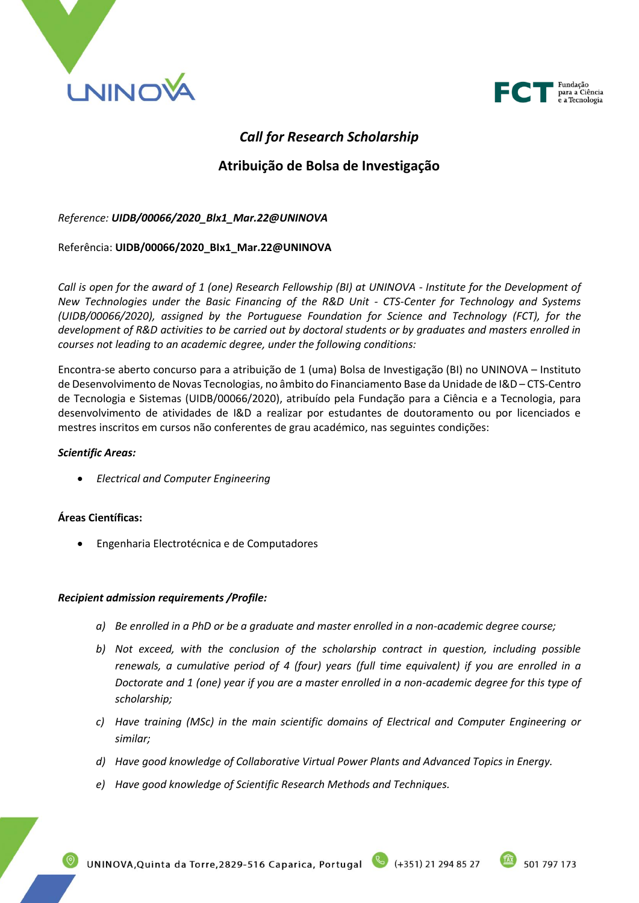



# *Call for Research Scholarship*

# **Atribuição de Bolsa de Investigação**

## *Reference: UIDB/00066/2020\_Blx1\_Mar.22@UNINOVA*

### Referência: **UIDB/00066/2020\_BIx1\_Mar.22@UNINOVA**

*Call is open for the award of 1 (one) Research Fellowship (BI) at UNINOVA - Institute for the Development of New Technologies under the Basic Financing of the R&D Unit - CTS-Center for Technology and Systems (UIDB/00066/2020), assigned by the Portuguese Foundation for Science and Technology (FCT), for the development of R&D activities to be carried out by doctoral students or by graduates and masters enrolled in courses not leading to an academic degree, under the following conditions:*

Encontra-se aberto concurso para a atribuição de 1 (uma) Bolsa de Investigação (BI) no UNINOVA – Instituto de Desenvolvimento de Novas Tecnologias, no âmbito do Financiamento Base da Unidade de I&D – CTS-Centro de Tecnologia e Sistemas (UIDB/00066/2020), atribuído pela Fundação para a Ciência e a Tecnologia, para desenvolvimento de atividades de I&D a realizar por estudantes de doutoramento ou por licenciados e mestres inscritos em cursos não conferentes de grau académico, nas seguintes condições:

#### *Scientific Areas:*

• *Electrical and Computer Engineering*

### **Áreas Científicas:**

• Engenharia Electrotécnica e de Computadores

### *Recipient admission requirements /Profile:*

- *a) Be enrolled in a PhD or be a graduate and master enrolled in a non-academic degree course;*
- *b) Not exceed, with the conclusion of the scholarship contract in question, including possible renewals, a cumulative period of 4 (four) years (full time equivalent) if you are enrolled in a Doctorate and 1 (one) year if you are a master enrolled in a non-academic degree for this type of scholarship;*
- *c) Have training (MSc) in the main scientific domains of Electrical and Computer Engineering or similar;*
- *d) Have good knowledge of Collaborative Virtual Power Plants and Advanced Topics in Energy.*
- *e) Have good knowledge of Scientific Research Methods and Techniques.*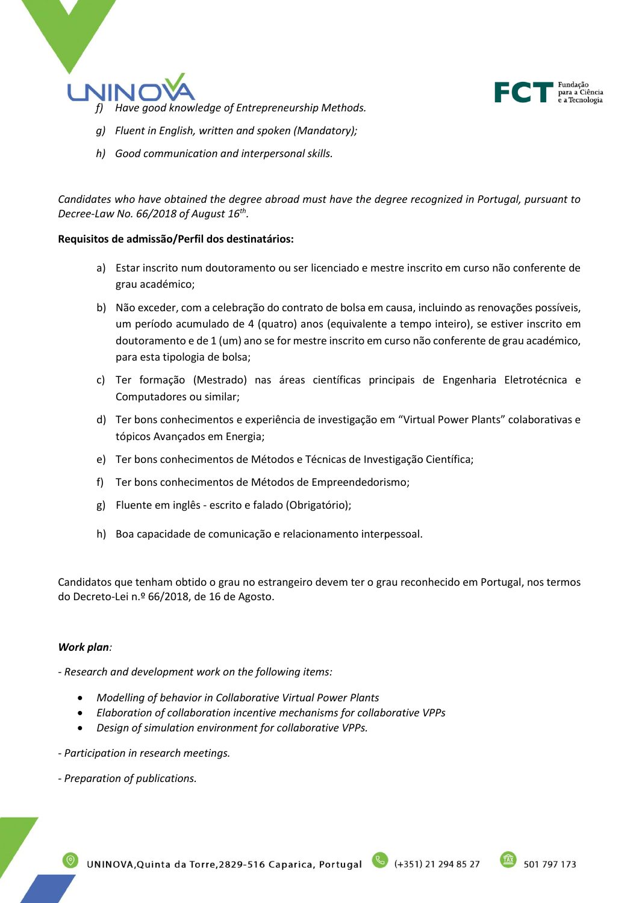



- *f) Have good knowledge of Entrepreneurship Methods.*
- *g) Fluent in English, written and spoken (Mandatory);*
- *h) Good communication and interpersonal skills.*

*Candidates who have obtained the degree abroad must have the degree recognized in Portugal, pursuant to Decree-Law No. 66/2018 of August 16th .*

### **Requisitos de admissão/Perfil dos destinatários:**

- a) Estar inscrito num doutoramento ou ser licenciado e mestre inscrito em curso não conferente de grau académico;
- b) Não exceder, com a celebração do contrato de bolsa em causa, incluindo as renovações possíveis, um período acumulado de 4 (quatro) anos (equivalente a tempo inteiro), se estiver inscrito em doutoramento e de 1 (um) ano se for mestre inscrito em curso não conferente de grau académico, para esta tipologia de bolsa;
- c) Ter formação (Mestrado) nas áreas científicas principais de Engenharia Eletrotécnica e Computadores ou similar;
- d) Ter bons conhecimentos e experiência de investigação em "Virtual Power Plants" colaborativas e tópicos Avançados em Energia;
- e) Ter bons conhecimentos de Métodos e Técnicas de Investigação Científica;
- f) Ter bons conhecimentos de Métodos de Empreendedorismo;
- g) Fluente em inglês escrito e falado (Obrigatório);
- h) Boa capacidade de comunicação e relacionamento interpessoal.

Candidatos que tenham obtido o grau no estrangeiro devem ter o grau reconhecido em Portugal, nos termos do Decreto-Lei n.º 66/2018, de 16 de Agosto.

### *Work plan:*

*- Research and development work on the following items:*

- *Modelling of behavior in Collaborative Virtual Power Plants*
- *Elaboration of collaboration incentive mechanisms for collaborative VPPs*
- *Design of simulation environment for collaborative VPPs.*
- *- Participation in research meetings.*
- *- Preparation of publications.*

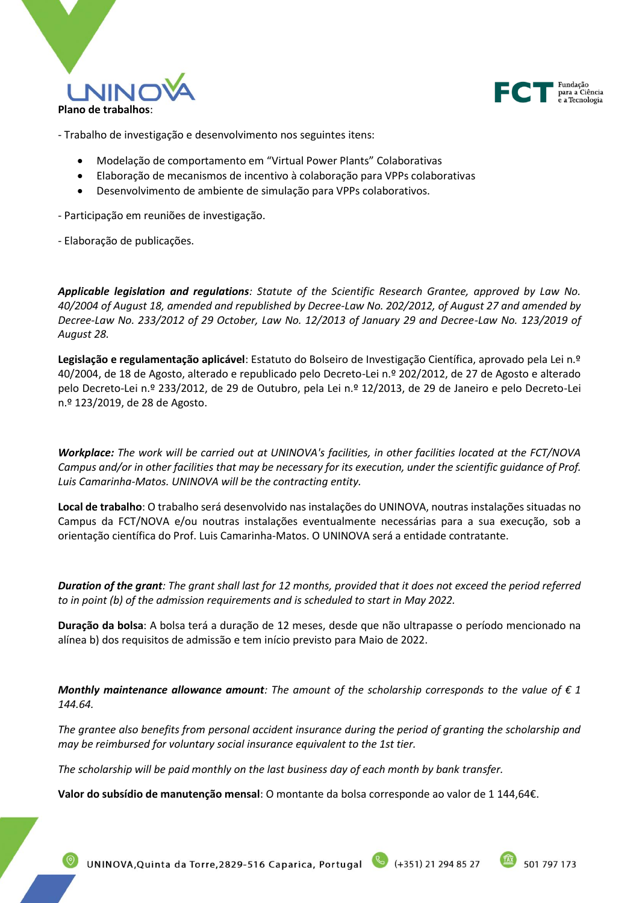



- Trabalho de investigação e desenvolvimento nos seguintes itens:

- Modelação de comportamento em "Virtual Power Plants" Colaborativas
- Elaboração de mecanismos de incentivo à colaboração para VPPs colaborativas
- Desenvolvimento de ambiente de simulação para VPPs colaborativos.

- Participação em reuniões de investigação.

- Elaboração de publicações.

*Applicable legislation and regulations: Statute of the Scientific Research Grantee, approved by Law No. 40/2004 of August 18, amended and republished by Decree-Law No. 202/2012, of August 27 and amended by Decree-Law No. 233/2012 of 29 October, Law No. 12/2013 of January 29 and Decree-Law No. 123/2019 of August 28.*

**Legislação e regulamentação aplicável**: Estatuto do Bolseiro de Investigação Científica, aprovado pela Lei n.º 40/2004, de 18 de Agosto, alterado e republicado pelo Decreto-Lei n.º 202/2012, de 27 de Agosto e alterado pelo Decreto-Lei n.º 233/2012, de 29 de Outubro, pela Lei n.º 12/2013, de 29 de Janeiro e pelo Decreto-Lei n.º 123/2019, de 28 de Agosto.

*Workplace: The work will be carried out at UNINOVA's facilities, in other facilities located at the FCT/NOVA Campus and/or in other facilities that may be necessary for its execution, under the scientific guidance of Prof. Luis Camarinha-Matos. UNINOVA will be the contracting entity.*

**Local de trabalho**: O trabalho será desenvolvido nas instalações do UNINOVA, noutras instalações situadas no Campus da FCT/NOVA e/ou noutras instalações eventualmente necessárias para a sua execução, sob a orientação científica do Prof. Luis Camarinha-Matos. O UNINOVA será a entidade contratante.

*Duration of the grant: The grant shall last for 12 months, provided that it does not exceed the period referred to in point (b) of the admission requirements and is scheduled to start in May 2022.*

**Duração da bolsa**: A bolsa terá a duração de 12 meses, desde que não ultrapasse o período mencionado na alínea b) dos requisitos de admissão e tem início previsto para Maio de 2022.

*Monthly maintenance allowance amount:* The amount of the scholarship corresponds to the value of  $\epsilon$  1 *144.64.* 

*The grantee also benefits from personal accident insurance during the period of granting the scholarship and may be reimbursed for voluntary social insurance equivalent to the 1st tier.*

*The scholarship will be paid monthly on the last business day of each month by bank transfer.*

**Valor do subsídio de manutenção mensal**: O montante da bolsa corresponde ao valor de 1 144,64€.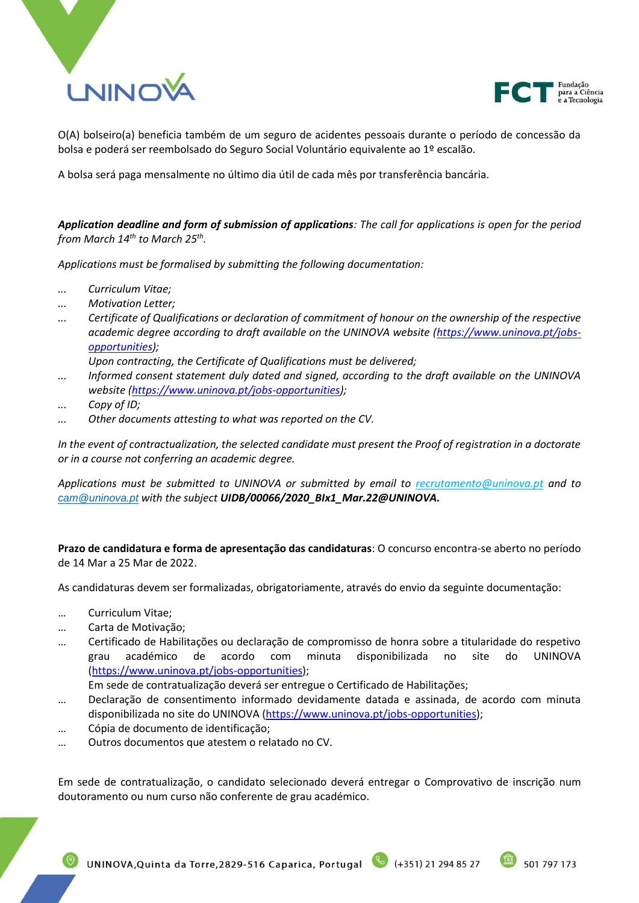



O(A) bolseiro(a) beneficia também de um seguro de acidentes pessoais durante o período de concessão da bolsa e poderá ser reembolsado do Seguro Social Voluntário equivalente ao 1º escalão.

A bolsa será paga mensalmente no último dia útil de cada mês por transferência bancária.

*Application deadline and form of submission of applications: The call for applications is open for the period from March 14th to March 25th .*

*Applications must be formalised by submitting the following documentation:*

- *... Curriculum Vitae;*
- *... Motivation Letter;*
- *... Certificate of Qualifications or declaration of commitment of honour on the ownership of the respective*  academic degree according to draft available on the UNINOVA website [\(https://www.uninova.pt/jobs](https://www.uninova.pt/jobs-opportunities)*[opportunities\)](https://www.uninova.pt/jobs-opportunities);*

*Upon contracting, the Certificate of Qualifications must be delivered;*

- *... Informed consent statement duly dated and signed, according to the draft available on the UNINOVA website [\(https://www.uninova.pt/jobs-opportunities\)](https://www.uninova.pt/jobs-opportunities);*
- *... Copy of ID;*
- *... Other documents attesting to what was reported on the CV.*

*In the event of contractualization, the selected candidate must present the Proof of registration in a doctorate or in a course not conferring an academic degree.*

*Applications must be submitted to UNINOVA or submitted by email to recrutamento@uninova.pt and to [cam@uninova.pt](mailto:cam@uninova.pt) with the subject UIDB/00066/2020\_BIx1\_Mar.22@UNINOVA.*

**Prazo de candidatura e forma de apresentação das candidaturas**: O concurso encontra-se aberto no período de 14 Mar a 25 Mar de 2022.

As candidaturas devem ser formalizadas, obrigatoriamente, através do envio da seguinte documentação:

- … Curriculum Vitae;
- … Carta de Motivação;
- … Certificado de Habilitações ou declaração de compromisso de honra sobre a titularidade do respetivo grau académico de acordo com minuta disponibilizada no site do UNINOVA [\(https://www.uninova.pt/jobs-opportunities\)](https://www.uninova.pt/jobs-opportunities);

Em sede de contratualização deverá ser entregue o Certificado de Habilitações;

- … Declaração de consentimento informado devidamente datada e assinada, de acordo com minuta disponibilizada no site do UNINOVA [\(https://www.uninova.pt/jobs-opportunities\)](https://www.uninova.pt/jobs-opportunities);
- … Cópia de documento de identificação;
- … Outros documentos que atestem o relatado no CV.

Em sede de contratualização, o candidato selecionado deverá entregar o Comprovativo de inscrição num doutoramento ou num curso não conferente de grau académico.

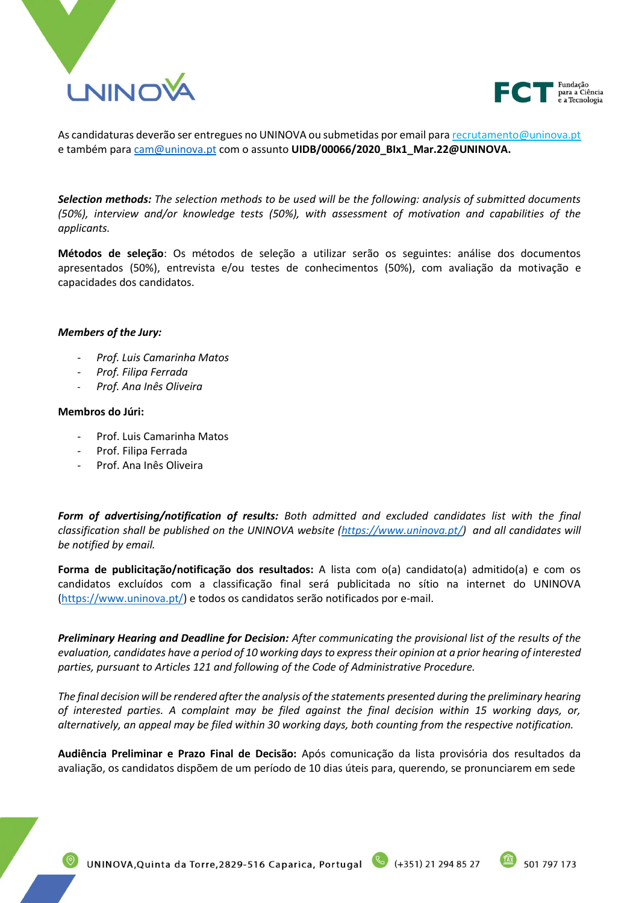



As candidaturas deverão ser entregues no UNINOVA ou submetidas por email para recrutamento@uninova.pt e também para [cam@uninova.pt](mailto:cam@uninova.pt) com o assunto **UIDB/00066/2020\_BIx1\_Mar.22@UNINOVA.**

*Selection methods: The selection methods to be used will be the following: analysis of submitted documents (50%), interview and/or knowledge tests (50%), with assessment of motivation and capabilities of the applicants.*

**Métodos de seleção**: Os métodos de seleção a utilizar serão os seguintes: análise dos documentos apresentados (50%), entrevista e/ou testes de conhecimentos (50%), com avaliação da motivação e capacidades dos candidatos.

#### *Members of the Jury:*

- *Prof. Luis Camarinha Matos*
- *Prof. Filipa Ferrada*
- *Prof. Ana Inês Oliveira*

#### **Membros do Júri:**

- Prof. Luis Camarinha Matos
- Prof. Filipa Ferrada
- Prof. Ana Inês Oliveira

*Form of advertising/notification of results: Both admitted and excluded candidates list with the final classification shall be published on the UNINOVA website [\(https://www.uninova.pt/\)](https://www.uninova.pt/) and all candidates will be notified by email.*

**Forma de publicitação/notificação dos resultados:** A lista com o(a) candidato(a) admitido(a) e com os candidatos excluídos com a classificação final será publicitada no sítio na internet do UNINOVA [\(https://www.uninova.pt/\)](https://www.uninova.pt/) e todos os candidatos serão notificados por e-mail.

*Preliminary Hearing and Deadline for Decision: After communicating the provisional list of the results of the evaluation, candidates have a period of 10 working days to express their opinion at a prior hearing of interested parties, pursuant to Articles 121 and following of the Code of Administrative Procedure.*

*The final decision will be rendered after the analysis of the statements presented during the preliminary hearing of interested parties. A complaint may be filed against the final decision within 15 working days, or, alternatively, an appeal may be filed within 30 working days, both counting from the respective notification.*

**Audiência Preliminar e Prazo Final de Decisão:** Após comunicação da lista provisória dos resultados da avaliação, os candidatos dispõem de um período de 10 dias úteis para, querendo, se pronunciarem em sede